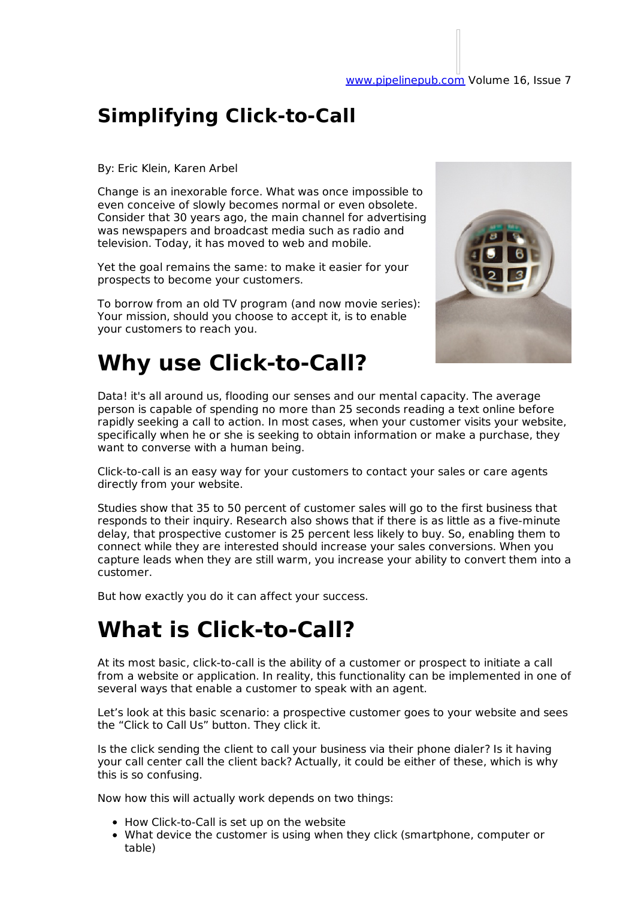### **Simplifying Click-to-Call**

#### By: Eric Klein, Karen Arbel

Change is an inexorable force. What was once impossible to even conceive of slowly becomes normal or even obsolete. Consider that 30 years ago, the main channel for advertising was newspapers and broadcast media such as radio and television. Today, it has moved to web and mobile.

Yet the goal remains the same: to make it easier for your prospects to become your customers.

To borrow from an old TV program (and now movie series): Your mission, should you choose to accept it, is to enable your customers to reach you.



### **Why use Click-to-Call?**

Data! it's all around us, flooding our senses and our mental capacity. The average person is capable of spending no more than 25 seconds reading a text online before rapidly seeking a call to action. In most cases, when your customer visits your website, specifically when he or she is seeking to obtain information or make a purchase, they want to converse with a human being.

Click-to-call is an easy way for your customers to contact your sales or care agents directly from your website.

Studies show that 35 to 50 percent of customer sales will go to the first business that responds to their inquiry. Research also shows that if there is as little as a five-minute delay, that prospective customer is 25 percent less likely to buy. So, enabling them to connect while they are interested should increase your sales conversions. When you capture leads when they are still warm, you increase your ability to convert them into a customer.

But how exactly you do it can affect your success.

## **What is Click-to-Call?**

At its most basic, click-to-call is the ability of a customer or prospect to initiate a call from a website or application. In reality, this functionality can be implemented in one of several ways that enable a customer to speak with an agent.

Let's look at this basic scenario: a prospective customer goes to your website and sees the "Click to Call Us" button. They click it.

Is the click sending the client to call your business via their phone dialer? Is it having your call center call the client back? Actually, it could be either of these, which is why this is so confusing.

Now how this will actually work depends on two things:

- How Click-to-Call is set up on the website
- What device the customer is using when they click (smartphone, computer or table)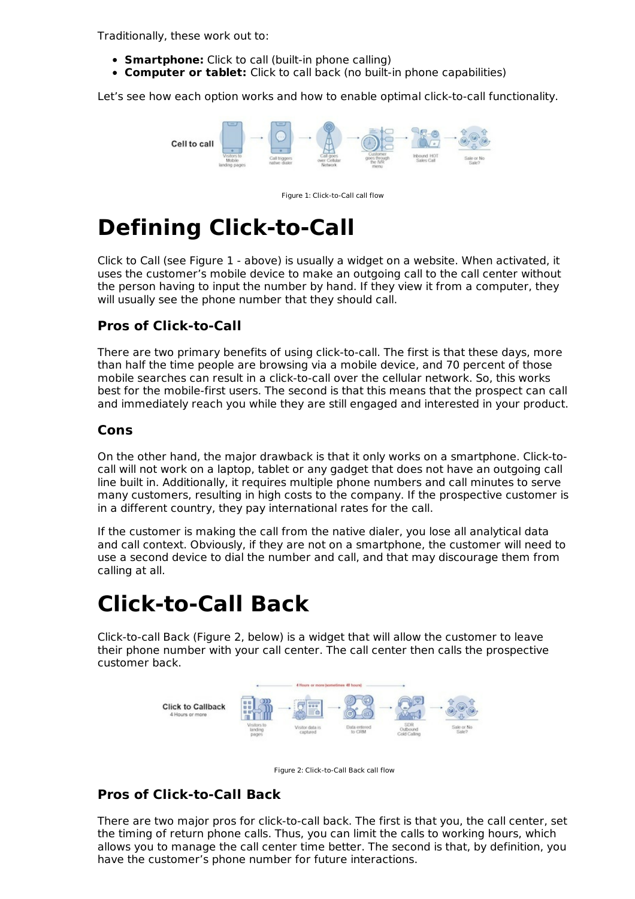Traditionally, these work out to:

- **Smartphone:** Click to call (built-in phone calling)
- **Computer or tablet:** Click to call back (no built-in phone capabilities)

Let's see how each option works and how to enable optimal click-to-call functionality.



Figure 1: Click-to-Call call flow

# **Defining Click-to-Call**

Click to Call (see Figure 1 - above) is usually a widget on a website. When activated, it uses the customer's mobile device to make an outgoing call to the call center without the person having to input the number by hand. If they view it from a computer, they will usually see the phone number that they should call.

#### **Pros of Click-to-Call**

There are two primary benefits of using click-to-call. The first is that these days, more than half the time people are browsing via a mobile device, and 70 percent of those mobile searches can result in a click-to-call over the cellular network. So, this works best for the mobile-first users. The second is that this means that the prospect can call and immediately reach you while they are still engaged and interested in your product.

#### **Cons**

On the other hand, the major drawback is that it only works on a smartphone. Click-tocall will not work on a laptop, tablet or any gadget that does not have an outgoing call line built in. Additionally, it requires multiple phone numbers and call minutes to serve many customers, resulting in high costs to the company. If the prospective customer is in a different country, they pay international rates for the call.

If the customer is making the call from the native dialer, you lose all analytical data and call context. Obviously, if they are not on a smartphone, the customer will need to use a second device to dial the number and call, and that may discourage them from calling at all.

## **Click-to-Call Back**

Click-to-call Back (Figure 2, below) is a widget that will allow the customer to leave their phone number with your call center. The call center then calls the prospective customer back.





#### **Pros of Click-to-Call Back**

There are two major pros for click-to-call back. The first is that you, the call center, set the timing of return phone calls. Thus, you can limit the calls to working hours, which allows you to manage the call center time better. The second is that, by definition, you have the customer's phone number for future interactions.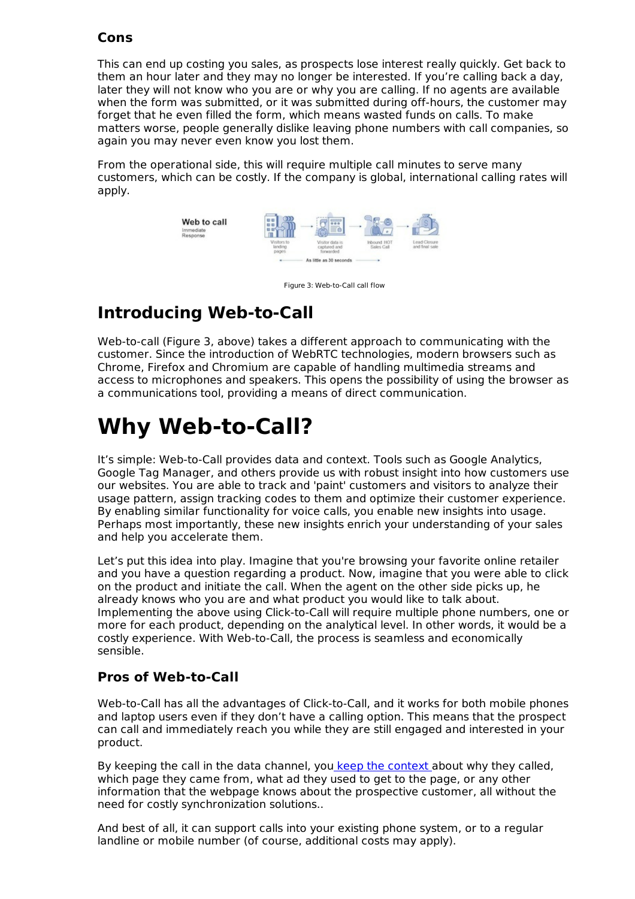#### **Cons**

This can end up costing you sales, as prospects lose interest really quickly. Get back to them an hour later and they may no longer be interested. If you're calling back a day, later they will not know who you are or why you are calling. If no agents are available when the form was submitted, or it was submitted during off-hours, the customer may forget that he even filled the form, which means wasted funds on calls. To make matters worse, people generally dislike leaving phone numbers with call companies, so again you may never even know you lost them.

From the operational side, this will require multiple call minutes to serve many customers, which can be costly. If the company is global, international calling rates will apply.



Figure 3: Web-to-Call call flow

#### **Introducing Web-to-Call**

Web-to-call (Figure 3, above) takes a different approach to communicating with the customer. Since the introduction of WebRTC technologies, modern browsers such as Chrome, Firefox and Chromium are capable of handling multimedia streams and access to microphones and speakers. This opens the possibility of using the browser as a communications tool, providing a means of direct communication.

## **Why Web-to-Call?**

It's simple: Web-to-Call provides data and context. Tools such as Google Analytics, Google Tag Manager, and others provide us with robust insight into how customers use our websites. You are able to track and 'paint' customers and visitors to analyze their usage pattern, assign tracking codes to them and optimize their customer experience. By enabling similar functionality for voice calls, you enable new insights into usage. Perhaps most importantly, these new insights enrich your understanding of your sales and help you accelerate them.

Let's put this idea into play. Imagine that you're browsing your favorite online retailer and you have a question regarding a product. Now, imagine that you were able to click on the product and initiate the call. When the agent on the other side picks up, he already knows who you are and what product you would like to talk about. Implementing the above using Click-to-Call will require multiple phone numbers, one or more for each product, depending on the analytical level. In other words, it would be a costly experience. With Web-to-Call, the process is seamless and economically sensible.

#### **Pros of Web-to-Call**

Web-to-Call has all the advantages of Click-to-Call, and it works for both mobile phones and laptop users even if they don't have a calling option. This means that the prospect can call and immediately reach you while they are still engaged and interested in your product.

By keeping the call in the data channel, you keep the context about why they called, which page they came from, what ad they used to get to the page, or any other information that the webpage knows about the prospective customer, all without the need for costly synchronization solutions..

And best of all, it can support calls into your existing phone system, or to a regular landline or mobile number (of course, additional costs may apply).